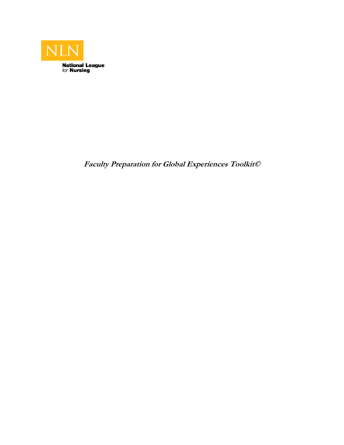

**Faculty Preparation for Global Experiences Toolkit©**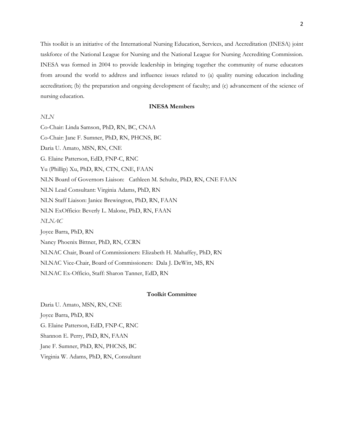This toolkit is an initiative of the International Nursing Education, Services, and Accreditation (INESA) joint taskforce of the National League for Nursing and the National League for Nursing Accrediting Commission. INESA was formed in 2004 to provide leadership in bringing together the community of nurse educators from around the world to address and influence issues related to (a) quality nursing education including accreditation; (b) the preparation and ongoing development of faculty; and (c) advancement of the science of nursing education.

## **INESA Members**

## *NLN*

Co-Chair: Linda Samson, PhD, RN, BC, CNAA Co-Chair: Jane F. Sumner, PhD, RN, PHCNS, BC Daria U. Amato, MSN, RN, CNE G. Elaine Patterson, EdD, FNP-C, RNC Yu (Phillip) Xu, PhD, RN, CTN, CNE, FAAN NLN Board of Governors Liaison: Cathleen M. Schultz, PhD, RN, CNE FAAN NLN Lead Consultant: Virginia Adams, PhD, RN NLN Staff Liaison: Janice Brewington, PhD, RN, FAAN NLN ExOfficio: Beverly L. Malone, PhD, RN, FAAN *NLNAC*  Joyce Barra, PhD, RN Nancy Phoenix Bittner, PhD, RN, CCRN NLNAC Chair, Board of Commissioners: Elizabeth H. Mahaffey, PhD, RN NLNAC Vice-Chair, Board of Commissioners: Dala J. DeWitt, MS, RN NLNAC Ex-Officio, Staff: Sharon Tanner, EdD, RN

### **Toolkit Committee**

Daria U. Amato, MSN, RN, CNE Joyce Barra, PhD, RN G. Elaine Patterson, EdD, FNP-C, RNC Shannon E. Perry, PhD, RN, FAAN Jane F. Sumner, PhD, RN, PHCNS, BC Virginia W. Adams, PhD, RN, Consultant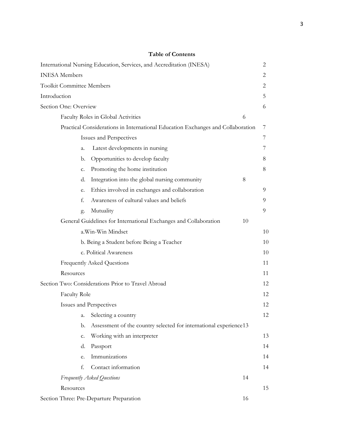| International Nursing Education, Services, and Accreditation (INESA) |                                                                                 | 2  |
|----------------------------------------------------------------------|---------------------------------------------------------------------------------|----|
| <b>INESA</b> Members                                                 |                                                                                 | 2  |
| <b>Toolkit Committee Members</b>                                     |                                                                                 | 2  |
| Introduction                                                         |                                                                                 | 5. |
| Section One: Overview                                                |                                                                                 | 6  |
| Faculty Roles in Global Activities                                   | 6                                                                               |    |
|                                                                      | Practical Considerations in International Education Exchanges and Collaboration | 7  |
| Issues and Perspectives                                              |                                                                                 | 7  |
| Latest developments in nursing<br>a.                                 |                                                                                 | 7  |
| Opportunities to develop faculty<br>b.                               |                                                                                 | 8  |
| Promoting the home institution<br>c.                                 |                                                                                 | 8  |
| Integration into the global nursing community<br>d.                  | 8                                                                               |    |
| Ethics involved in exchanges and collaboration<br>e.                 |                                                                                 | 9  |
| Awareness of cultural values and beliefs<br>f.                       |                                                                                 | 9  |
| Mutuality<br>g.                                                      |                                                                                 | 9  |
| General Guidelines for International Exchanges and Collaboration     | 10                                                                              |    |
| a.Win-Win Mindset                                                    |                                                                                 | 10 |
| b. Being a Student before Being a Teacher                            |                                                                                 | 10 |
| c. Political Awareness                                               |                                                                                 | 10 |
| <b>Frequently Asked Questions</b>                                    |                                                                                 | 11 |
| Resources                                                            |                                                                                 | 11 |
| Section Two: Considerations Prior to Travel Abroad                   |                                                                                 | 12 |
| <b>Faculty Role</b>                                                  |                                                                                 | 12 |
| Issues and Perspectives                                              |                                                                                 | 12 |
| Selecting a country<br>a.                                            |                                                                                 | 12 |
| b.                                                                   | Assessment of the country selected for international experience13               |    |
| Working with an interpreter<br>c.                                    |                                                                                 | 13 |
| Passport<br>d.                                                       |                                                                                 | 14 |
| Immunizations<br>e.                                                  |                                                                                 | 14 |
| Contact information<br>f.                                            |                                                                                 | 14 |
| Frequently Asked Questions                                           | 14                                                                              |    |
| Resources                                                            |                                                                                 | 15 |
| Section Three: Pre-Departure Preparation                             | 16                                                                              |    |

# **Table of Contents**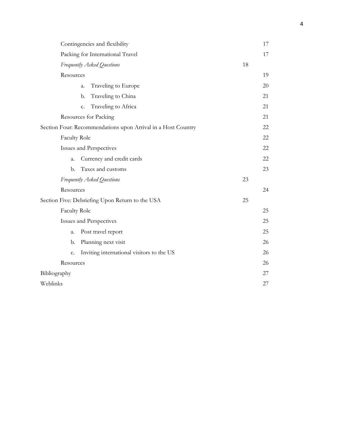| Contingencies and flexibility                                | 17 |
|--------------------------------------------------------------|----|
| Packing for International Travel                             | 17 |
| Frequently Asked Questions                                   | 18 |
| Resources                                                    | 19 |
| Traveling to Europe<br>a.                                    | 20 |
| Traveling to China<br>b.                                     | 21 |
| Traveling to Africa<br>c.                                    | 21 |
| Resources for Packing                                        | 21 |
| Section Four: Recommendations upon Arrival in a Host Country | 22 |
| <b>Faculty Role</b>                                          | 22 |
| Issues and Perspectives                                      | 22 |
| Currency and credit cards<br>a.                              | 22 |
| Taxes and customs<br>b.                                      | 23 |
| Frequently Asked Questions                                   | 23 |
| Resources                                                    | 24 |
| Section Five: Debriefing Upon Return to the USA              | 25 |
| <b>Faculty Role</b>                                          | 25 |
| Issues and Perspectives                                      | 25 |
| Post travel report<br>a.                                     | 25 |
| Planning next visit<br>b.                                    | 26 |
| Inviting international visitors to the US<br>c.              | 26 |
| Resources                                                    | 26 |
| Bibliography                                                 | 27 |
| Weblinks                                                     | 27 |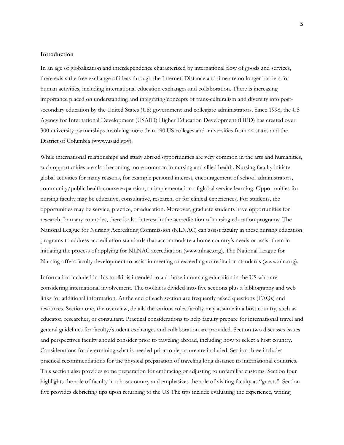## **Introduction**

In an age of globalization and interdependence characterized by international flow of goods and services, there exists the free exchange of ideas through the Internet. Distance and time are no longer barriers for human activities, including international education exchanges and collaboration. There is increasing importance placed on understanding and integrating concepts of trans-culturalism and diversity into postsecondary education by the United States (US) government and collegiate administrators. Since 1998, the US Agency for International Development (USAID) Higher Education Development (HED) has created over 300 university partnerships involving more than 190 US colleges and universities from 44 states and the District of Columbia (www.usaid.gov).

While international relationships and study abroad opportunities are very common in the arts and humanities, such opportunities are also becoming more common in nursing and allied health. Nursing faculty initiate global activities for many reasons, for example personal interest, encouragement of school administrators, community/public health course expansion, or implementation of global service learning. Opportunities for nursing faculty may be educative, consultative, research, or for clinical experiences. For students, the opportunities may be service, practice, or education. Moreover, graduate students have opportunities for research. In many countries, there is also interest in the accreditation of nursing education programs. The National League for Nursing Accrediting Commission (NLNAC) can assist faculty in these nursing education programs to address accreditation standards that accommodate a home country's needs or assist them in initiating the process of applying for NLNAC accreditation (www.nlnac.org). The National League for Nursing offers faculty development to assist in meeting or exceeding accreditation standards (www.nln.org).

Information included in this toolkit is intended to aid those in nursing education in the US who are considering international involvement. The toolkit is divided into five sections plus a bibliography and web links for additional information. At the end of each section are frequently asked questions (FAQs) and resources. Section one, the overview, details the various roles faculty may assume in a host country, such as educator, researcher, or consultant. Practical considerations to help faculty prepare for international travel and general guidelines for faculty/student exchanges and collaboration are provided. Section two discusses issues and perspectives faculty should consider prior to traveling abroad, including how to select a host country. Considerations for determining what is needed prior to departure are included. Section three includes practical recommendations for the physical preparation of traveling long distance to international countries. This section also provides some preparation for embracing or adjusting to unfamiliar customs. Section four highlights the role of faculty in a host country and emphasizes the role of visiting faculty as "guests". Section five provides debriefing tips upon returning to the US The tips include evaluating the experience, writing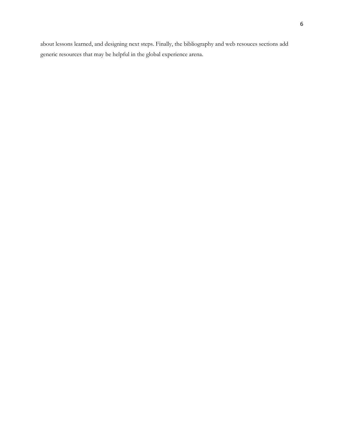about lessons learned, and designing next steps. Finally, the bibliography and web resouces sections add generic resources that may be helpful in the global experience arena.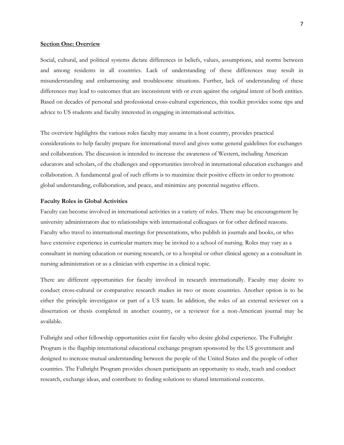### **Section One: Overview**

Social, cultural, and political systems dictate differences in beliefs, values, assumptions, and norms between and among residents in all countries. Lack of understanding of these differences may result in misunderstanding and embarrassing and troublesome situations. Further, lack of understanding of these differences may lead to outcomes that are inconsistent with or even against the original intent of both entities. Based on decades of personal and professional cross-cultural experiences, this toolkit provides some tips and advice to US students and faculty interested in engaging in international activities.

The overview highlights the various roles faculty may assume in a host country, provides practical considerations to help faculty prepare for international travel and gives some general guidelines for exchanges and collaboration. The discussion is intended to increase the awareness of Western, including American educators and scholars, of the challenges and opportunities involved in international education exchanges and collaboration. A fundamental goal of such efforts is to maximize their positive effects in order to promote global understanding, collaboration, and peace, and minimize any potential negative effects.

#### **Faculty Roles in Global Activities**

Faculty can become involved in international activities in a variety of roles. There may be encouragement by university administrators due to relationships with international colleagues or for other defined reasons. Faculty who travel to international meetings for presentations, who publish in journals and books, or who have extensive experience in curricular matters may be invited to a school of nursing. Roles may vary as a consultant in nursing education or nursing research, or to a hospital or other clinical agency as a consultant in nursing administration or as a clinician with expertise in a clinical topic.

There are different opportunities for faculty involved in research internationally. Faculty may desire to conduct cross-cultural or comparative research studies in two or more countries. Another option is to be either the principle investigator or part of a US team. In addition, the roles of an external reviewer on a dissertation or thesis completed in another country, or a reviewer for a non-American journal may be available.

Fulbright and other fellowship opportunities exist for faculty who desire global experience. The Fulbright Program is the flagship international educational exchange program sponsored by the US government and designed to increase mutual understanding between the people of the United States and the people of other countries. The Fulbright Program provides chosen participants an opportunity to study, teach and conduct research, exchange ideas, and contribute to finding solutions to shared international concerns.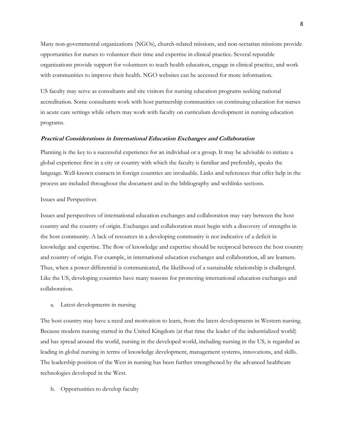Many non-governmental organizations (NGOs), church-related missions, and non-sectarian missions provide opportunities for nurses to volunteer their time and expertise in clinical practice. Several reputable organizations provide support for volunteers to teach health education, engage in clinical practice, and work with communities to improve their health. NGO websites can be accessed for more information.

US faculty may serve as consultants and site visitors for nursing education programs seeking national accreditation. Some consultants work with host partnership communities on continuing education for nurses in acute care settings while others may work with faculty on curriculum development in nursing education programs.

## **Practical Considerations in International Education Exchanges and Collaboration**

Planning is the key to a successful experience for an individual or a group. It may be advisable to initiate a global experience first in a city or country with which the faculty is familiar and preferably, speaks the language. Well-known contacts in foreign countries are invaluable. Links and references that offer help in the process are included throughout the document and in the bibliography and weblinks sections.

#### Issues and Perspectives

Issues and perspectives of international education exchanges and collaboration may vary between the host country and the country of origin. Exchanges and collaboration must begin with a discovery of strengths in the host community. A lack of resources in a developing community is not indicative of a deficit in knowledge and expertise. The flow of knowledge and expertise should be reciprocal between the host country and country of origin. For example, in international education exchanges and collaboration, all are learners. Thus, when a power differential is communicated, the likelihood of a sustainable relationship is challenged. Like the US, developing countries have many reasons for promoting international education exchanges and collaboration.

a. Latest developments in nursing

The host country may have a need and motivation to learn, from the latest developments in Western nursing. Because modern nursing started in the United Kingdom (at that time the leader of the industrialized world) and has spread around the world, nursing in the developed world, including nursing in the US, is regarded as leading in global nursing in terms of knowledge development, management systems, innovations, and skills. The leadership position of the West in nursing has been further strengthened by the advanced healthcare technologies developed in the West.

b. Opportunities to develop faculty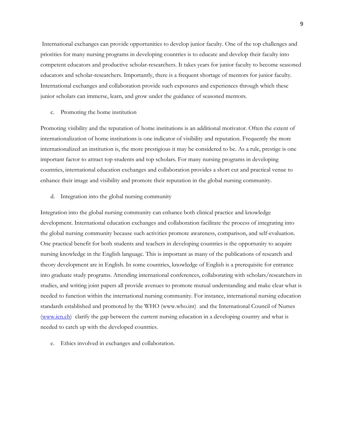International exchanges can provide opportunities to develop junior faculty. One of the top challenges and priorities for many nursing programs in developing countries is to educate and develop their faculty into competent educators and productive scholar-researchers. It takes years for junior faculty to become seasoned educators and scholar-researchers. Importantly, there is a frequent shortage of mentors for junior faculty. International exchanges and collaboration provide such exposures and experiences through which these junior scholars can immerse, learn, and grow under the guidance of seasoned mentors.

c. Promoting the home institution

Promoting visibility and the reputation of home institutions is an additional motivator. Often the extent of internationalization of home institutions is one indicator of visibility and reputation. Frequently the more internationalized an institution is, the more prestigious it may be considered to be. As a rule, prestige is one important factor to attract top students and top scholars. For many nursing programs in developing countries, international education exchanges and collaboration provides a short cut and practical venue to enhance their image and visibility and promote their reputation in the global nursing community.

d. Integration into the global nursing community

Integration into the global nursing community can enhance both clinical practice and knowledge development. International education exchanges and collaboration facilitate the process of integrating into the global nursing community because such activities promote awareness, comparison, and self-evaluation. One practical benefit for both students and teachers in developing countries is the opportunity to acquire nursing knowledge in the English language. This is important as many of the publications of research and theory development are in English. In some countries, knowledge of English is a prerequisite for entrance into graduate study programs. Attending international conferences, collaborating with scholars/researchers in studies, and writing joint papers all provide avenues to promote mutual understanding and make clear what is needed to function within the international nursing community. For instance, international nursing education standards established and promoted by the WHO (www.who.int) and the International Council of Nurses (www.icn.ch) clarify the gap between the current nursing education in a developing country and what is needed to catch up with the developed countries.

e. Ethics involved in exchanges and collaboration.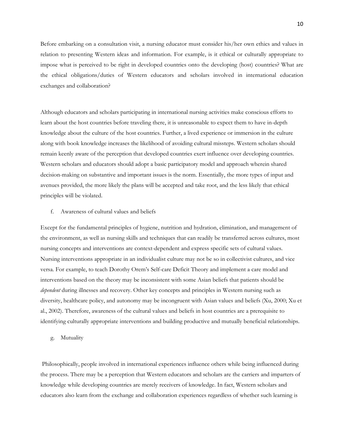Before embarking on a consultation visit, a nursing educator must consider his/her own ethics and values in relation to presenting Western ideas and information. For example, is it ethical or culturally appropriate to impose what is perceived to be right in developed countries onto the developing (host) countries? What are the ethical obligations/duties of Western educators and scholars involved in international education exchanges and collaboration?

Although educators and scholars participating in international nursing activities make conscious efforts to learn about the host countries before traveling there, it is unreasonable to expect them to have in-depth knowledge about the culture of the host countries. Further, a lived experience or immersion in the culture along with book knowledge increases the likelihood of avoiding cultural missteps. Western scholars should remain keenly aware of the perception that developed countries exert influence over developing countries. Western scholars and educators should adopt a basic participatory model and approach wherein shared decision-making on substantive and important issues is the norm. Essentially, the more types of input and avenues provided, the more likely the plans will be accepted and take root, and the less likely that ethical principles will be violated.

#### f. Awareness of cultural values and beliefs

Except for the fundamental principles of hygiene, nutrition and hydration, elimination, and management of the environment, as well as nursing skills and techniques that can readily be transferred across cultures, most nursing concepts and interventions are context-dependent and express specific sets of cultural values. Nursing interventions appropriate in an individualist culture may not be so in collectivist cultures, and vice versa. For example, to teach Dorothy Orem's Self-care Deficit Theory and implement a care model and interventions based on the theory may be inconsistent with some Asian beliefs that patients should be *dependent* during illnesses and recovery. Other key concepts and principles in Western nursing such as diversity, healthcare policy, and autonomy may be incongruent with Asian values and beliefs (Xu, 2000; Xu et al., 2002). Therefore, awareness of the cultural values and beliefs in host countries are a prerequisite to identifying culturally appropriate interventions and building productive and mutually beneficial relationships.

g. Mutuality

 Philosophically, people involved in international experiences influence others while being influenced during the process. There may be a perception that Western educators and scholars are the carriers and imparters of knowledge while developing countries are merely receivers of knowledge. In fact, Western scholars and educators also learn from the exchange and collaboration experiences regardless of whether such learning is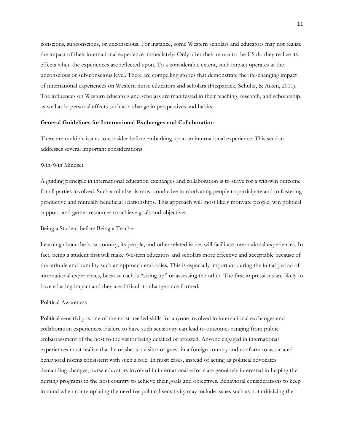conscious, subconscious, or unconscious. For instance, some Western scholars and educators may not realize the impact of their international experience immediately. Only after their return to the US do they realize its effects when the experiences are reflected upon. To a considerable extent, such impact operates at the unconscious or sub-conscious level. There are compelling stories that demonstrate the life-changing impact of international experiences on Western nurse educators and scholars (Fitzpatrick, Schultz, & Aiken, 2010). The influences on Western educators and scholars are manifested in their teaching, research, and scholarship, as well as in personal effects such as a change in perspectives and habits.

### **General Guidelines for International Exchanges and Collaboration**

There are multiple issues to consider before embarking upon an international experience. This section addresses several important considerations.

### Win-Win Mindset

A guiding principle in international education exchanges and collaboration is to strive for a win-win outcome for all parties involved. Such a mindset is most conducive to motivating people to participate and to fostering productive and mutually beneficial relationships. This approach will most likely motivate people, win political support, and garner resources to achieve goals and objectives.

#### Being a Student before Being a Teacher

Learning about the host country, its people, and other related issues will facilitate international experiences. In fact, being a student first will make Western educators and scholars more effective and acceptable because of the attitude and humility such an approach embodies. This is especially important during the initial period of international experiences, because each is "sizing up" or assessing the other. The first impressions are likely to have a lasting impact and they are difficult to change once formed.

#### Political Awareness

Political sensitivity is one of the most needed skills for anyone involved in international exchanges and collaboration experiences. Failure to have such sensitivity can lead to outcomes ranging from public embarrassment of the host to the visitor being detailed or arrested. Anyone engaged in international experiences must realize that he or she is a visitor or guest in a foreign country and conform to associated behavioral norms consistent with such a role. In most cases, instead of acting as political advocates demanding changes, nurse educators involved in international efforts are genuinely interested in helping the nursing programs in the host country to achieve their goals and objectives. Behavioral considerations to keep in mind when contemplating the need for political sensitivity may include issues such as not criticizing the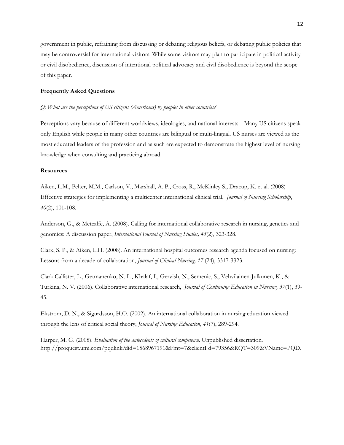government in public, refraining from discussing or debating religious beliefs, or debating public policies that may be controversial for international visitors. While some visitors may plan to participate in political activity or civil disobedience, discussion of intentional political advocacy and civil disobedience is beyond the scope of this paper.

### **Frequently Asked Questions**

#### *Q: What are the perceptions of US citizens (Americans) by peoples in other countries?*

Perceptions vary because of different worldviews, ideologies, and national interests. . Many US citizens speak only English while people in many other countries are bilingual or multi-lingual. US nurses are viewed as the most educated leaders of the profession and as such are expected to demonstrate the highest level of nursing knowledge when consulting and practicing abroad.

#### **Resources**

Aiken, L.M., Pelter, M.M., Carlson, V., Marshall, A. P., Cross, R., McKinley S., Dracup, K. et al. (2008) Effective strategies for implementing a multicenter international clinical trial, *Journal of Nursing Scholarship*, *40*(2), 101-108.

Anderson, G., & Metcalfe, A. (2008). Calling for international collaborative research in nursing, genetics and genomics: A discussion paper, *International Journal of Nursing Studies, 45*(2), 323-328.

Clark, S. P., & Aiken, L.H. (2008). An international hospital outcomes research agenda focused on nursing: Lessons from a decade of collaboration, *Journal of Clinical Nursing, 17* (24), 3317-3323.

Clark Callister, L., Getmanenko, N. L., Khalaf, I., Gervish, N., Semenic, S., Vehvilainen-Julkunen, K., & Turkina, N. V. (2006). Collaborative international research, *Journal of Continuing Education in Nursing, 37*(1), 39- 45.

Ekstrom, D. N., & Sigurdsson, H.O. (2002). An international collaboration in nursing education viewed through the lens of critical social theory, *Journal of Nursing Education, 41*(7), 289-294.

Harper, M. G. (2008). *Evaluation of the antecedents of cultural competence*. Unpublished dissertation. http://proquest.umi.com/pqdlink?did=1568967191&Fmt=7&clientI d=79356&RQT=309&VName=PQD.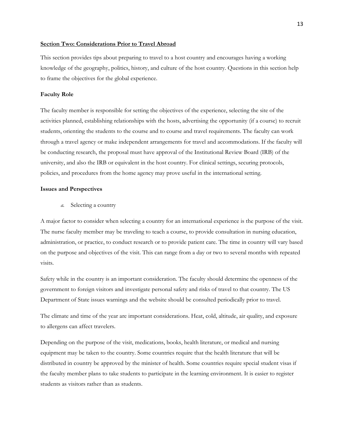## **Section Two: Considerations Prior to Travel Abroad**

This section provides tips about preparing to travel to a host country and encourages having a working knowledge of the geography, politics, history, and culture of the host country. Questions in this section help to frame the objectives for the global experience.

#### **Faculty Role**

The faculty member is responsible for setting the objectives of the experience, selecting the site of the activities planned, establishing relationships with the hosts, advertising the opportunity (if a course) to recruit students, orienting the students to the course and to course and travel requirements. The faculty can work through a travel agency or make independent arrangements for travel and accommodations. If the faculty will be conducting research, the proposal must have approval of the Institutional Review Board (IRB) of the university, and also the IRB or equivalent in the host country. For clinical settings, securing protocols, policies, and procedures from the home agency may prove useful in the international setting.

#### **Issues and Perspectives**

*a.* Selecting a country

A major factor to consider when selecting a country for an international experience is the purpose of the visit. The nurse faculty member may be traveling to teach a course, to provide consultation in nursing education, administration, or practice, to conduct research or to provide patient care. The time in country will vary based on the purpose and objectives of the visit. This can range from a day or two to several months with repeated visits.

Safety while in the country is an important consideration. The faculty should determine the openness of the government to foreign visitors and investigate personal safety and risks of travel to that country. The US Department of State issues warnings and the website should be consulted periodically prior to travel.

The climate and time of the year are important considerations. Heat, cold, altitude, air quality, and exposure to allergens can affect travelers.

Depending on the purpose of the visit, medications, books, health literature, or medical and nursing equipment may be taken to the country. Some countries require that the health literature that will be distributed in country be approved by the minister of health. Some countries require special student visas if the faculty member plans to take students to participate in the learning environment. It is easier to register students as visitors rather than as students.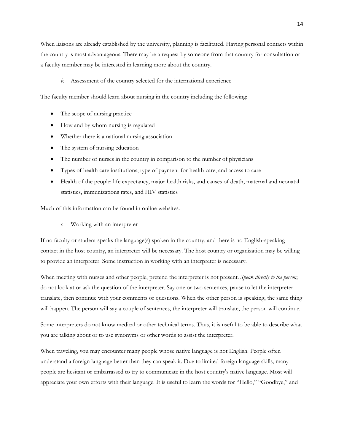When liaisons are already established by the university, planning is facilitated. Having personal contacts within the country is most advantageous. There may be a request by someone from that country for consultation or a faculty member may be interested in learning more about the country.

*b.* Assessment of the country selected for the international experience

The faculty member should learn about nursing in the country including the following:

- The scope of nursing practice
- How and by whom nursing is regulated
- Whether there is a national nursing association
- The system of nursing education
- The number of nurses in the country in comparison to the number of physicians
- Types of health care institutions, type of payment for health care, and access to care
- Health of the people: life expectancy, major health risks, and causes of death, maternal and neonatal statistics, immunizations rates, and HIV statistics

Much of this information can be found in online websites.

*c.* Working with an interpreter

If no faculty or student speaks the language(s) spoken in the country, and there is no English-speaking contact in the host country, an interpreter will be necessary. The host country or organization may be willing to provide an interpreter. Some instruction in working with an interpreter is necessary.

When meeting with nurses and other people, pretend the interpreter is not present. *Speak directly to the person*; do not look at or ask the question of the interpreter. Say one or two sentences, pause to let the interpreter translate, then continue with your comments or questions. When the other person is speaking, the same thing will happen. The person will say a couple of sentences, the interpreter will translate, the person will continue.

Some interpreters do not know medical or other technical terms. Thus, it is useful to be able to describe what you are talking about or to use synonyms or other words to assist the interpreter.

When traveling, you may encounter many people whose native language is not English. People often understand a foreign language better than they can speak it. Due to limited foreign language skills, many people are hesitant or embarrassed to try to communicate in the host country's native language. Most will appreciate your own efforts with their language. It is useful to learn the words for "Hello," "Goodbye," and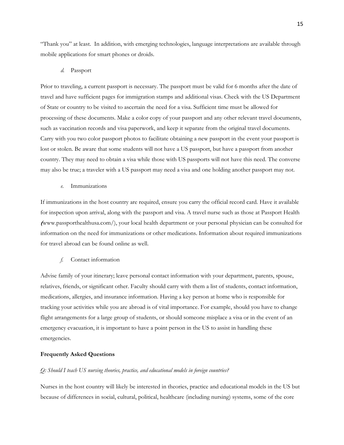"Thank you" at least. In addition, with emerging technologies, language interpretations are available through mobile applications for smart phones or droids.

#### *d.* Passport

Prior to traveling, a current passport is necessary. The passport must be valid for 6 months after the date of travel and have sufficient pages for immigration stamps and additional visas. Check with the US Department of State or country to be visited to ascertain the need for a visa. Sufficient time must be allowed for processing of these documents. Make a color copy of your passport and any other relevant travel documents, such as vaccination records and visa paperwork, and keep it separate from the original travel documents. Carry with you two color passport photos to facilitate obtaining a new passport in the event your passport is lost or stolen. Be aware that some students will not have a US passport, but have a passport from another country. They may need to obtain a visa while those with US passports will not have this need. The converse may also be true; a traveler with a US passport may need a visa and one holding another passport may not.

### *e.* Immunizations

If immunizations in the host country are required, ensure you carry the official record card. Have it available for inspection upon arrival, along with the passport and visa. A travel nurse such as those at Passport Health **(**www.passporthealthusa.com/), your local health department or your personal physician can be consulted for information on the need for immunizations or other medications. Information about required immunizations for travel abroad can be found online as well.

## *f.* Contact information

Advise family of your itinerary; leave personal contact information with your department, parents, spouse, relatives, friends, or significant other. Faculty should carry with them a list of students, contact information, medications, allergies, and insurance information. Having a key person at home who is responsible for tracking your activities while you are abroad is of vital importance. For example, should you have to change flight arrangements for a large group of students, or should someone misplace a visa or in the event of an emergency evacuation, it is important to have a point person in the US to assist in handling these emergencies.

#### **Frequently Asked Questions**

#### *Q: Should I teach US nursing theories, practice, and educational models in foreign countries?*

Nurses in the host country will likely be interested in theories, practice and educational models in the US but because of differences in social, cultural, political, healthcare (including nursing) systems, some of the core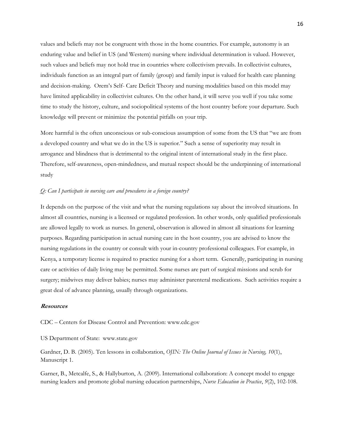values and beliefs may not be congruent with those in the home countries. For example, autonomy is an enduring value and belief in US (and Western) nursing where individual determination is valued. However, such values and beliefs may not hold true in countries where collectivism prevails. In collectivist cultures, individuals function as an integral part of family (group) and family input is valued for health care planning and decision-making. Orem's Self- Care Deficit Theory and nursing modalities based on this model may have limited applicability in collectivist cultures. On the other hand, it will serve you well if you take some time to study the history, culture, and sociopolitical systems of the host country before your departure. Such knowledge will prevent or minimize the potential pitfalls on your trip.

More harmful is the often unconscious or sub-conscious assumption of some from the US that "we are from a developed country and what we do in the US is superior." Such a sense of superiority may result in arrogance and blindness that is detrimental to the original intent of international study in the first place. Therefore, self-awareness, open-mindedness, and mutual respect should be the underpinning of international study

### *Q: Can I participate in nursing care and procedures in a foreign country?*

It depends on the purpose of the visit and what the nursing regulations say about the involved situations. In almost all countries, nursing is a licensed or regulated profession. In other words, only qualified professionals are allowed legally to work as nurses. In general, observation is allowed in almost all situations for learning purposes. Regarding participation in actual nursing care in the host country, you are advised to know the nursing regulations in the country or consult with your in-country professional colleagues. For example, in Kenya, a temporary license is required to practice nursing for a short term. Generally, participating in nursing care or activities of daily living may be permitted. Some nurses are part of surgical missions and scrub for surgery; midwives may deliver babies; nurses may administer parenteral medications. Such activities require a great deal of advance planning, usually through organizations.

#### **Resources**

CDC – Centers for Disease Control and Prevention: www.cdc.gov

US Department of State: www.state.gov

Gardner, D. B. (2005). Ten lessons in collaboration, *OJIN: The Online Journal of Issues in Nursing, 10*(1), Manuscript 1.

Garner, B., Metcalfe, S., & Hallyburton, A. (2009). International collaboration: A concept model to engage nursing leaders and promote global nursing education partnerships, *Nurse Education in Practice*, *9*(2), 102-108.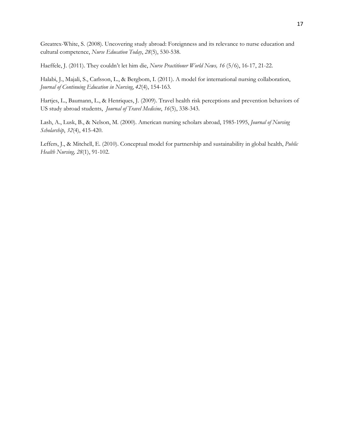Greatrex-White, S. (2008). Uncovering study abroad: Foreignness and its relevance to nurse education and cultural competence, *Nurse Education Today*, *28*(5), 530-538.

Haeffele, J. (2011). They couldn't let him die, *Nurse Practitioner World News, 16* (5/6), 16-17, 21-22.

Halabi, J., Majali, S., Carlsson, L., & Bergbom, I. (2011). A model for international nursing collaboration, *Journal of Continuing Education in Nursing*, *42*(4), 154-163.

Hartjes, L., Baumann, L., & Henriques, J. (2009). Travel health risk perceptions and prevention behaviors of US study abroad students, *Journal of Travel Medicine*, *16*(5), 338-343.

Lash, A., Lusk, B., & Nelson, M. (2000). American nursing scholars abroad, 1985-1995, *Journal of Nursing Scholarship*, *32*(4), 415-420.

Leffers, J., & Mitchell, E. (2010). Conceptual model for partnership and sustainability in global health, *Public Health Nursing, 28*(1), 91-102.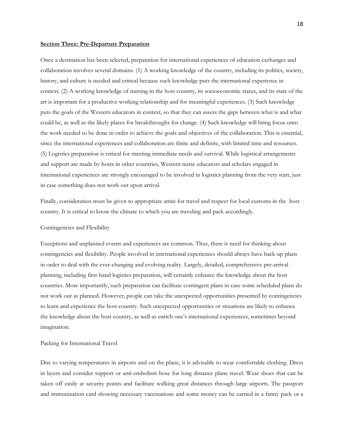#### **Section Three: Pre-Departure Preparation**

Once a destination has been selected, preparation for international experiences of education exchanges and collaboration involves several domains. (1) A working knowledge of the country, including its politics, society, history, and culture is needed and critical because such knowledge puts the international experience in context. (2) A working knowledge of nursing in the host country, its socioeconomic status, and its state of the art is important for a productive working relationship and for meaningful experiences. (3) Such knowledge puts the goals of the Western educators in context, so that they can assess the gaps between what is and what could be, as well as the likely places for breakthroughs for change. (4) Such knowledge will bring focus onto the work needed to be done in order to achieve the goals and objectives of the collaboration. This is essential, since the international experiences and collaboration are finite and definite, with limited time and resources. (5) Logistics preparation is critical for meeting immediate needs and survival. While logistical arrangements and support are made by hosts in other countries, Western nurse educators and scholars engaged in international experiences are strongly encouraged to be involved in logistics planning from the very start, just in case something does not work out upon arrival.

Finally, consideration must be given to appropriate attire for travel and respect for local customs in the host country. It is critical to know the climate to which you are traveling and pack accordingly.

#### Contingencies and Flexibility

Exceptions and unplanned events and experiences are common. Thus, there is need for thinking about contingencies and flexibility. People involved in international experiences should always have back-up plans in order to deal with the ever-changing and evolving reality. Largely, detailed, comprehensive pre-arrival planning, including first-hand logistics preparation, will certainly enhance the knowledge about the host countries. More importantly, such preparation can facilitate contingent plans in case some scheduled plans do not work out as planned. However, people can take the unexpected opportunities presented by contingencies to learn and experience the host country. Such unexpected opportunities or situations are likely to enhance the knowledge about the host country, as well as enrich one's international experiences, sometimes beyond imagination.

#### Packing for International Travel

Due to varying temperatures in airports and on the plane, it is advisable to wear comfortable clothing. Dress in layers and consider support or anti-embolism hose for long distance plane travel. Wear shoes that can be taken off easily at security points and facilitate walking great distances through large airports. The passport and immunization card showing necessary vaccinations and some money can be carried in a fanny pack or a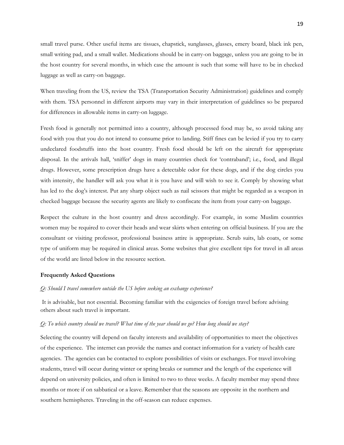small travel purse. Other useful items are tissues, chapstick, sunglasses, glasses, emery board, black ink pen, small writing pad, and a small wallet. Medications should be in carry-on baggage, unless you are going to be in the host country for several months, in which case the amount is such that some will have to be in checked luggage as well as carry-on baggage.

When traveling from the US, review the TSA (Transportation Security Administration) guidelines and comply with them. TSA personnel in different airports may vary in their interpretation of guidelines so be prepared for differences in allowable items in carry-on luggage.

Fresh food is generally not permitted into a country, although processed food may be, so avoid taking any food with you that you do not intend to consume prior to landing. Stiff fines can be levied if you try to carry undeclared foodstuffs into the host country. Fresh food should be left on the aircraft for appropriate disposal. In the arrivals hall, 'sniffer' dogs in many countries check for 'contraband'; i.e., food, and illegal drugs. However, some prescription drugs have a detectable odor for these dogs, and if the dog circles you with intensity, the handler will ask you what it is you have and will wish to see it. Comply by showing what has led to the dog's interest. Put any sharp object such as nail scissors that might be regarded as a weapon in checked baggage because the security agents are likely to confiscate the item from your carry-on baggage.

Respect the culture in the host country and dress accordingly. For example, in some Muslim countries women may be required to cover their heads and wear skirts when entering on official business. If you are the consultant or visiting professor, professional business attire is appropriate. Scrub suits, lab coats, or some type of uniform may be required in clinical areas. Some websites that give excellent tips for travel in all areas of the world are listed below in the resource section.

### **Frequently Asked Questions**

#### *Q: Should I travel somewhere outside the US before seeking an exchange experience?*

 It is advisable, but not essential. Becoming familiar with the exigencies of foreign travel before advising others about such travel is important.

### *Q: To which country should we travel? What time of the year should we go? How long should we stay?*

Selecting the country will depend on faculty interests and availability of opportunities to meet the objectives of the experience. The internet can provide the names and contact information for a variety of health care agencies. The agencies can be contacted to explore possibilities of visits or exchanges. For travel involving students, travel will occur during winter or spring breaks or summer and the length of the experience will depend on university policies, and often is limited to two to three weeks. A faculty member may spend three months or more if on sabbatical or a leave. Remember that the seasons are opposite in the northern and southern hemispheres. Traveling in the off-season can reduce expenses.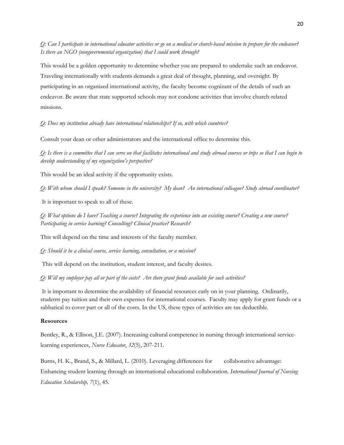*Q: Can I participate in international educator activities or go on a medical or church-based mission to prepare for the endeavor? Is there an NGO (nongovernmental organization) that I could work through?* 

This would be a golden opportunity to determine whether you are prepared to undertake such an endeavor. Traveling internationally with students demands a great deal of thought, planning, and oversight. By participating in an organized international activity, the faculty become cognizant of the details of such an endeavor. Be aware that state supported schools may not condone activities that involve church-related missions.

*Q: Does my institution already have international relationships? If so, with which countries?*

Consult your dean or other administrators and the international office to determine this.

*Q: Is there is a committee that I can serve on that facilitates international and study abroad courses or trips so that I can begin to develop understanding of my organization's perspective?* 

This would be an ideal activity if the opportunity exists.

*Q: With whom should I speak? Someone in the university? My dean? An international colleague? Study abroad coordinator?* 

It is important to speak to all of these.

*Q: What options do I have? Teaching a course? Integrating the experience into an existing course? Creating a new course? Participating in service learning? Consulting? Clinical practice? Research?*

This will depend on the time and interests of the faculty member.

*Q: Should it be a clinical course, service learning, consultation, or a mission?* 

This will depend on the institution, student interest, and faculty desires.

*Q: Will my employer pay all or part of the costs? Are there grant funds available for such activities?* 

 It is important to determine the availability of financial resources early on in your planning. Ordinarily, students pay tuition and their own expenses for international courses. Faculty may apply for grant funds or a sabbatical to cover part or all of the costs. In the US, these types of activities are tax deductible.

## **Resources**

Bentley, R., & Ellison, J.E. (2007). Increasing cultural competence in nursing through international servicelearning experiences, *Nurse Educator*, *32*(5), 207-211.

Burns, H. K., Brand, S., & Millard, L. (2010). Leveraging differences for collaborative advantage: Enhancing student learning through an international educational collaboration. *International Journal of Nursing Education Scholarship, 7*(1), 45.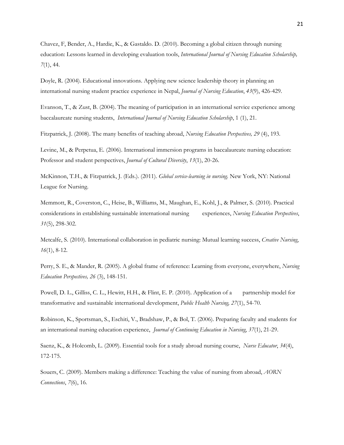Chavez, F, Bender, A., Hardie, K., & Gastaldo. D. (2010). Becoming a global citizen through nursing education: Lessons learned in developing evaluation tools, *International Journal of Nursing Education Scholarship, 7*(1), 44.

Doyle, R. (2004). Educational innovations. Applying new science leadership theory in planning an international nursing student practice experience in Nepal, *Journal of Nursing Education*, *43*(9), 426-429.

Evanson, T., & Zust, B. (2004). The meaning of participation in an international service experience among baccalaureate nursing students, *International Journal of Nursing Education Scholarship*, 1 (1), 21.

Fitzpatrick, J. (2008). The many benefits of teaching abroad, *Nursing Education Perspectives, 29* (4), 193.

Levine, M., & Perpetua, E. (2006). International immersion programs in baccalaureate nursing education: Professor and student perspectives, *Journal of Cultural Diversity*, *13*(1), 20-26.

McKinnon, T.H., & Fitzpatrick, J. (Eds.). (2011). *Global service-learning in nursing*. New York, NY: National League for Nursing.

Memmott, R., Coverston, C., Heise, B., Williams, M., Maughan, E., Kohl, J., & Palmer, S. (2010). Practical considerations in establishing sustainable international nursing experiences, *Nursing Education Perspectives*, *31*(5), 298-302.

Metcalfe, S. (2010). International collaboration in pediatric nursing: Mutual learning success, *Creative Nursing*, *16*(1), 8-12.

Perry, S. E., & Mander, R. (2005). A global frame of reference: Learning from everyone, everywhere, *Nursing Education Perspectives, 26* (3), 148-151.

Powell, D. L., Gilliss, C. L., Hewitt, H.H., & Flint, E. P. (2010). Application of a partnership model for transformative and sustainable international development, *Public Health Nursing, 27*(1), 54-70.

Robinson, K., Sportsman, S., Eschiti, V., Bradshaw, P., & Bol, T. (2006). Preparing faculty and students for an international nursing education experience, *Journal of Continuing Education in Nursing*, *37*(1), 21-29.

Saenz, K., & Holcomb, L. (2009). Essential tools for a study abroad nursing course, *Nurse Educator*, *34*(4), 172-175.

Souers, C. (2009). Members making a difference: Teaching the value of nursing from abroad, *AORN Connections*, *7*(6), 16.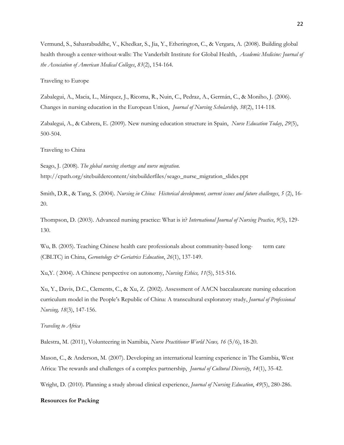Vermund, S., Sahasrabuddhe, V., Khedkar, S., Jia, Y., Etherington, C., & Vergara, A. (2008). Building global health through a center-without-walls: The Vanderbilt Institute for Global Health, *Academic Medicine: Journal of the Association of American Medical Colleges*, *83*(2), 154-164.

Traveling to Europe

Zabalegui, A., Macia, L., Márquez, J., Ricoma, R., Nuin, C., Pedraz, A., Germán, C., & Moniho, J. (2006). Changes in nursing education in the European Union, *Journal of Nursing Scholarship, 38*(2), 114-118.

Zabalegui, A., & Cabrera, E. (2009). New nursing education structure in Spain, *Nurse Education Today*, *29*(5), 500-504.

Traveling to China

Seago, J. (2008). *The global nursing shortage and nurse migration.*  http://cpath.org/sitebuildercontent/sitebuilderfiles/seago\_nurse\_migration\_slides.ppt

Smith, D.R., & Tang, S. (2004). *Nursing in China: Historical development, current issues and future challenges*, *5* (2), 16- 20.

Thompson, D. (2003). Advanced nursing practice: What is it? *International Journal of Nursing Practice*, *9*(3), 129- 130.

Wu, B. (2005). Teaching Chinese health care professionals about community-based long- term care (CBLTC) in China, *Gerontology & Geriatrics Education*, *26*(1), 137-149.

Xu,Y. ( 2004). A Chinese perspective on autonomy, *Nursing Ethics, 11*(5), 515-516.

Xu, Y., Davis, D.C., Clements, C., & Xu, Z. (2002). Assessment of AACN baccalaureate nursing education curriculum model in the People's Republic of China: A transcultural exploratory study, *Journal of Professional Nursing, 18*(3), 147-156.

*Traveling to Africa* 

Balestra, M. (2011), Volunteering in Namibia, *Nurse Practitioner World News, 16* (5/6), 18-20.

Mason, C., & Anderson, M. (2007). Developing an international learning experience in The Gambia, West Africa: The rewards and challenges of a complex partnership, *Journal of Cultural Diversity*, *14*(1), 35-42.

Wright, D. (2010). Planning a study abroad clinical experience, *Journal of Nursing Education*, *49*(5), 280-286.

## **Resources for Packing**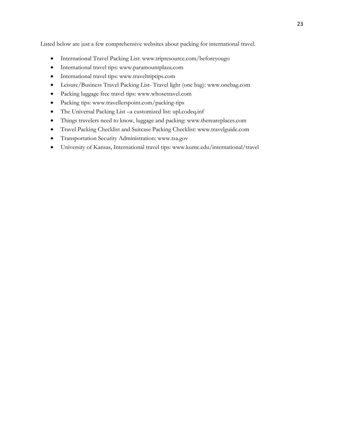Listed below are just a few comprehensive websites about packing for international travel.

- International Travel Packing List: www.tripresource.com/beforeyougo
- International travel tips: www.paramountplaza.com
- International travel tips: www.traveltriptips.com
- Leisure/Business Travel Packing List- Travel light (one bag): www.onebag.com
- Packing luggage free travel tips: www.whosetravel.com
- Packing tips: www.travellerspoint.com/packing-tips
- The Universal Packing List –a customized list: upl.codeq.inf
- Things travelers need to know, luggage and packing: www.thereareplaces.com
- Travel Packing Checklist and Suitcase Packing Checklist: www.travelguide.com
- Transportation Security Administration: www.tsa.gov
- University of Kansas, International travel tips: www.kumc.edu/international/travel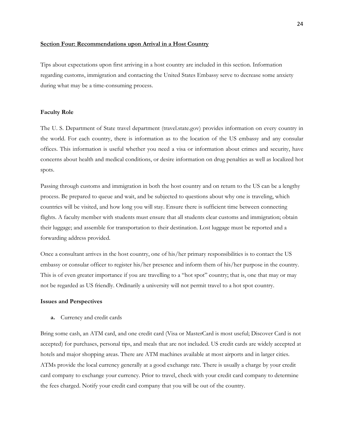## **Section Four: Recommendations upon Arrival in a Host Country**

Tips about expectations upon first arriving in a host country are included in this section. Information regarding customs, immigration and contacting the United States Embassy serve to decrease some anxiety during what may be a time-consuming process.

### **Faculty Role**

The U. S. Department of State travel department (travel.state.gov) provides information on every country in the world. For each country, there is information as to the location of the US embassy and any consular offices. This information is useful whether you need a visa or information about crimes and security, have concerns about health and medical conditions, or desire information on drug penalties as well as localized hot spots.

Passing through customs and immigration in both the host country and on return to the US can be a lengthy process. Be prepared to queue and wait, and be subjected to questions about why one is traveling, which countries will be visited, and how long you will stay. Ensure there is sufficient time between connecting flights. A faculty member with students must ensure that all students clear customs and immigration; obtain their luggage; and assemble for transportation to their destination. Lost luggage must be reported and a forwarding address provided.

Once a consultant arrives in the host country, one of his/her primary responsibilities is to contact the US embassy or consular officer to register his/her presence and inform them of his/her purpose in the country. This is of even greater importance if you are travelling to a "hot spot" country; that is, one that may or may not be regarded as US friendly. Ordinarily a university will not permit travel to a hot spot country.

#### **Issues and Perspectives**

**a.** Currency and credit cards

Bring some cash, an ATM card, and one credit card (Visa or MasterCard is most useful; Discover Card is not accepted) for purchases, personal tips, and meals that are not included. US credit cards are widely accepted at hotels and major shopping areas. There are ATM machines available at most airports and in larger cities. ATMs provide the local currency generally at a good exchange rate. There is usually a charge by your credit card company to exchange your currency. Prior to travel, check with your credit card company to determine the fees charged. Notify your credit card company that you will be out of the country.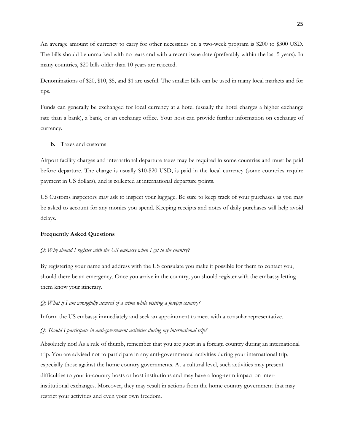An average amount of currency to carry for other necessities on a two-week program is \$200 to \$300 USD. The bills should be unmarked with no tears and with a recent issue date (preferably within the last 5 years). In many countries, \$20 bills older than 10 years are rejected.

Denominations of \$20, \$10, \$5, and \$1 are useful. The smaller bills can be used in many local markets and for tips.

Funds can generally be exchanged for local currency at a hotel (usually the hotel charges a higher exchange rate than a bank), a bank, or an exchange office. Your host can provide further information on exchange of currency.

**b.** Taxes and customs

Airport facility charges and international departure taxes may be required in some countries and must be paid before departure. The charge is usually \$10-\$20 USD, is paid in the local currency (some countries require payment in US dollars), and is collected at international departure points.

US Customs inspectors may ask to inspect your luggage. Be sure to keep track of your purchases as you may be asked to account for any monies you spend. Keeping receipts and notes of daily purchases will help avoid delays.

### **Frequently Asked Questions**

#### *Q: Why should I register with the US embassy when I get to the country?*

By registering your name and address with the US consulate you make it possible for them to contact you, should there be an emergency. Once you arrive in the country, you should register with the embassy letting them know your itinerary.

#### *Q: What if I am wrongfully accused of a crime while visiting a foreign country?*

Inform the US embassy immediately and seek an appointment to meet with a consular representative.

### *Q: Should I participate in anti-government activities during my international trip?*

Absolutely not! As a rule of thumb, remember that you are guest in a foreign country during an international trip. You are advised not to participate in any anti-governmental activities during your international trip, especially those against the home country governments. At a cultural level, such activities may present difficulties to your in-country hosts or host institutions and may have a long-term impact on interinstitutional exchanges. Moreover, they may result in actions from the home country government that may restrict your activities and even your own freedom.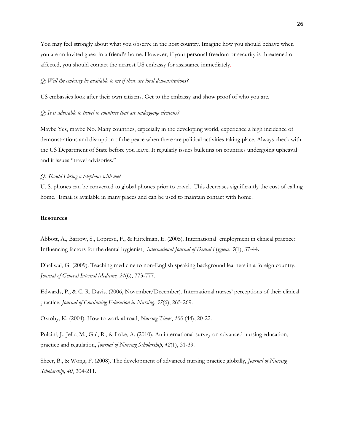You may feel strongly about what you observe in the host country. Imagine how you should behave when you are an invited guest in a friend's home. However, if your personal freedom or security is threatened or affected, you should contact the nearest US embassy for assistance immediately.

### *Q: Will the embassy be available to me if there are local demonstrations?*

US embassies look after their own citizens. Get to the embassy and show proof of who you are.

### *Q: Is it advisable to travel to countries that are undergoing elections?*

Maybe Yes, maybe No. Many countries, especially in the developing world, experience a high incidence of demonstrations and disruption of the peace when there are political activities taking place. Always check with the US Department of State before you leave. It regularly issues bulletins on countries undergoing upheaval and it issues "travel advisories."

#### *Q: Should I bring a telephone with me?*

U. S. phones can be converted to global phones prior to travel. This decreases significantly the cost of calling home. Email is available in many places and can be used to maintain contact with home.

### **Resources**

Abbott, A., Barrow, S., Lopresti, F., & Hittelman, E. (2005). International employment in clinical practice: Influencing factors for the dental hygienist, *International Journal of Dental Hygiene*, *3*(1), 37-44.

Dhaliwal, G. (2009). Teaching medicine to non-English speaking background learners in a foreign country, *Journal of General Internal Medicine, 24*(6), 773-777.

Edwards, P., & C. R. Davis. (2006, November/December). International nurses' perceptions of their clinical practice, *Journal of Continuing Education in Nursing*, *37*(6), 265-269.

Oxtoby, K. (2004). How to work abroad, *Nursing Times*, *100* (44), 20-22.

Pulcini, J., Jelic, M., Gul, R., & Loke, A. (2010). An international survey on advanced nursing education, practice and regulation, *Journal of Nursing Scholarship*, *42*(1), 31-39.

Sheer, B., & Wong, F. (2008). The development of advanced nursing practice globally, *Journal of Nursing Scholarship, 40*, 204-211.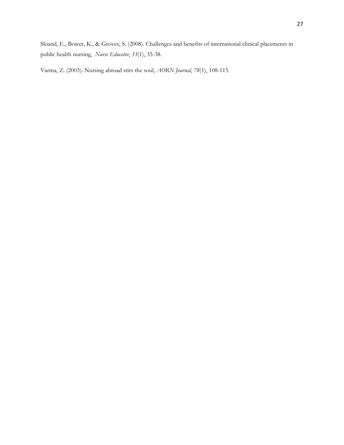Sloand, E., Bower, K., & Groves, S. (2008). Challenges and benefits of international clinical placements in public health nursing, *Nurse Educator*, *33*(1), 35-38.

Varma, Z. (2003). Nursing abroad stirs the soul, *AORN Journal*, *78*(1), 108-115.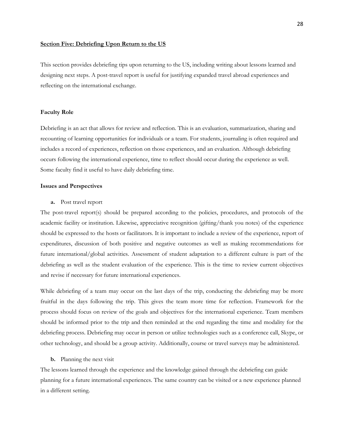### **Section Five: Debriefing Upon Return to the US**

This section provides debriefing tips upon returning to the US, including writing about lessons learned and designing next steps. A post-travel report is useful for justifying expanded travel abroad experiences and reflecting on the international exchange.

### **Faculty Role**

Debriefing is an act that allows for review and reflection. This is an evaluation, summarization, sharing and recounting of learning opportunities for individuals or a team. For students, journaling is often required and includes a record of experiences, reflection on those experiences, and an evaluation. Although debriefing occurs following the international experience, time to reflect should occur during the experience as well. Some faculty find it useful to have daily debriefing time.

## **Issues and Perspectives**

#### **a.** Post travel report

The post-travel report(s) should be prepared according to the policies, procedures, and protocols of the academic facility or institution. Likewise, appreciative recognition (gifting/thank you notes) of the experience should be expressed to the hosts or facilitators. It is important to include a review of the experience, report of expenditures, discussion of both positive and negative outcomes as well as making recommendations for future international/global activities. Assessment of student adaptation to a different culture is part of the debriefing as well as the student evaluation of the experience. This is the time to review current objectives and revise if necessary for future international experiences.

While debriefing of a team may occur on the last days of the trip, conducting the debriefing may be more fruitful in the days following the trip. This gives the team more time for reflection. Framework for the process should focus on review of the goals and objectives for the international experience. Team members should be informed prior to the trip and then reminded at the end regarding the time and modality for the debriefing process. Debriefing may occur in person or utilize technologies such as a conference call, Skype, or other technology, and should be a group activity. Additionally, course or travel surveys may be administered.

### **b.** Planning the next visit

The lessons learned through the experience and the knowledge gained through the debriefing can guide planning for a future international experiences. The same country can be visited or a new experience planned in a different setting.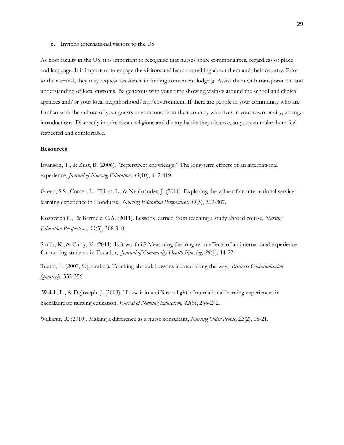**c.** Inviting international visitors to the US

As host faculty in the US, it is important to recognize that nurses share commonalities, regardless of place and language. It is important to engage the visitors and learn something about them and their country. Prior to their arrival, they may request assistance in finding convenient lodging. Assist them with transportation and understanding of local customs. Be generous with your time showing visitors around the school and clinical agencies and/or your local neighborhood/city/environment. If there are people in your community who are familiar with the culture of your guests or someone from their country who lives in your town or city, arrange introductions. Discreetly inquire about religious and dietary habits they observe, so you can make them feel respected and comfortable.

## **Resources**

Evanson, T., & Zust, B. (2006). "Bittersweet knowledge:" The long-term effects of an international experience, *Journal of Nursing Education, 45*(10), 412-419.

Green, S.S., Comer, L., Elliott, L., & Neubrander, J. (2011). Exploring the value of an international servicelearning experience in Honduras, *Nursing Education Perspectives, 33*(5), 302-307.

Kostovich,C., & Bermele, C.A. (2011). Lessons learned from teaching a study abroad course, *Nursing Education Perspectives, 33*(5), 308-310.

Smith, K., & Curry, K. (2011). Is it worth it? Measuring the long-term effects of an international experience for nursing students in Ecuador, *Journal of Community Health Nursing*, *28*(1), 14-22.

Texter, L. (2007, September). Teaching abroad: Lessons learned along the way, *Business Communication Quarterly,* 352-356*.* 

 Walsh, L., & DeJoseph, J. (2003). "I saw it in a different light": International learning experiences in baccalaureate nursing education, *Journal of Nursing Education*, *42*(6), 266-272.

Williams, R. (2010). Making a difference as a nurse consultant, *Nursing Older People*, *22*(2), 18-21.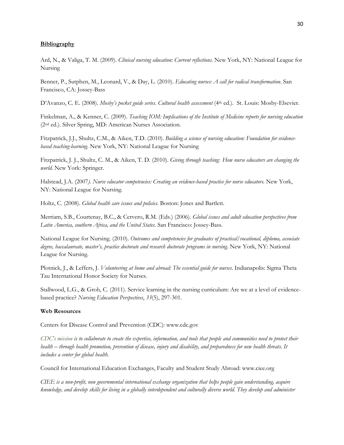## **Bibliography**

Ard, N., & Valiga, T. M. (2009). *Clinical nursing education: Current reflections*. New York, NY: National League for Nursing

Benner, P., Sutphen, M., Leonard, V., & Day, L. (2010). *Educating nurses: A call for radical transformation*. San Francisco, CA: Jossey-Bass

D'Avanzo, C. E. (2008). *Mosby's pocket guide series. Cultural health assessment* (4<sup>th</sup> ed.). St. Louis: Mosby-Elsevier.

Finkelman, A., & Kenner, C. (2009). *Teaching IOM: Implications of the Institute of Medicine reports for nursing education* (2nd ed.). Silver Spring, MD: American Nurses Association.

Fitzpatrick, J.J., Shultz, C.M., & Aiken, T.D. (2010). *Building a science of nursing education: Foundation for evidencebased teaching-learning*. New York, NY: National League for Nursing

Fitzpatrick, J. J., Shultz, C. M., & Aiken, T. D. (2010). *Giving through teaching: How nurse educators are changing the world*. New York: Springer.

Halstead, J.A. (2007*). Nurse educator competencies: Creating an evidence-based practice for nurse educators.* New York, NY: National League for Nursing.

Holtz, C. (2008). *Global health care issues and policies*. Boston: Jones and Bartlett.

Merriam, S.B., Courtenay, B.C., & Cervero, R.M. (Eds.) (2006). *Global issues and adult education perspectives from Latin America, southern Africa, and the United States*. San Francisco: Jossey-Bass.

National League for Nursing. (2010). *Outcomes and competencies for graduates of practical/vocational, diploma, associate degree, baccalaureate, master's, practice doctorate and research doctorate programs in nursing.* New York, NY: National League for Nursing.

Plotnick, J., & Leffers, J. *Volunteering at home and abroad: The essential guide for nurses*. Indianapolis: Sigma Theta Tau International Honor Society for Nurses.

Stallwood, L.G., & Groh, C. (2011). Service learning in the nursing curriculum: Are we at a level of evidencebased practice? *Nursing Education Perspectives*, *33*(5), 297-301.

### **Web Resources**

Centers for Disease Control and Prevention (CDC): www.cdc.gov

*CDC′s mission is to collaborate to create the expertise, information, and tools that people and communities need to protect their health – through health promotion, prevention of disease, injury and disability, and preparedness for new health threats. It includes a center for global health.* 

Council for International Education Exchanges, Faculty and Student Study Abroad: www.ciee.org

*CIEE is a non-profit, non governmental international exchange organization that helps people gain understanding, acquire knowledge, and develop skills for living in a globally interdependent and culturally diverse world. They develop and administer*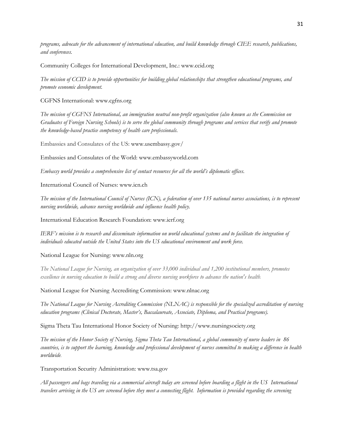*programs, advocate for the advancement of international education, and build knowledge through CIEE research, publications, and conferences.* 

Community Colleges for International Development, Inc.: www.ccid.org

*The mission of CCID is to provide opportunities for building global relationships that strengthen educational programs, and promote economic development.* 

CGFNS International: www.cgfns.org

*The mission of CGFNS International, an immigration neutral non-profit organization (also known as the Commission on Graduates of Foreign Nursing Schools) is to serve the global community through programs and services that verify and promote the knowledge-based practice competency of health care professionals.* 

Embassies and Consulates of the US: www.usembassy.gov/

Embassies and Consulates of the World: www.embassyworld.com

*Embassy world provides a comprehensive list of contact resources for all the world's diplomatic offices*.

International Council of Nurses: www.icn.ch

*The mission of the International Council of Nurses (ICN), a federation of over 135 national nurses associations, is to represent nursing worldwide, advance nursing worldwide and influence health policy.* 

International Education Research Foundation: www.ierf.org

*IERF's mission is to research and disseminate information on world educational systems and to facilitate the integration of individuals educated outside the United States into the US educational environment and work force.* 

National League for Nursing: www.nln.org

*The National League for Nursing, an organization of over 33,000 individual and 1,200 institutional members, promotes excellence in nursing education to build a strong and diverse nursing workforce to advance the nation's health*.

National League for Nursing Accrediting Commission: www.nlnac.org

*The National League for Nursing Accrediting Commission (NLNAC) is responsible for the specialized accreditation of nursing education programs (Clinical Doctorate, Master's, Baccalaureate, Associate, Diploma, and Practical programs).* 

Sigma Theta Tau International Honor Society of Nursing: http://www.nursingsociety.org

*The mission of the Honor Society of Nursing, Sigma Theta Tau International, a global community of nurse leaders in 86 countries, is to support the learning, knowledge and professional development of nurses committed to making a difference in health worldwide*.

Transportation Security Administration: www.tsa.gov

*All passengers and bags traveling via a commercial aircraft today are screened before boarding a flight in the US International travelers arriving in the US are screened before they meet a connecting flight. Information is provided regarding the screening*